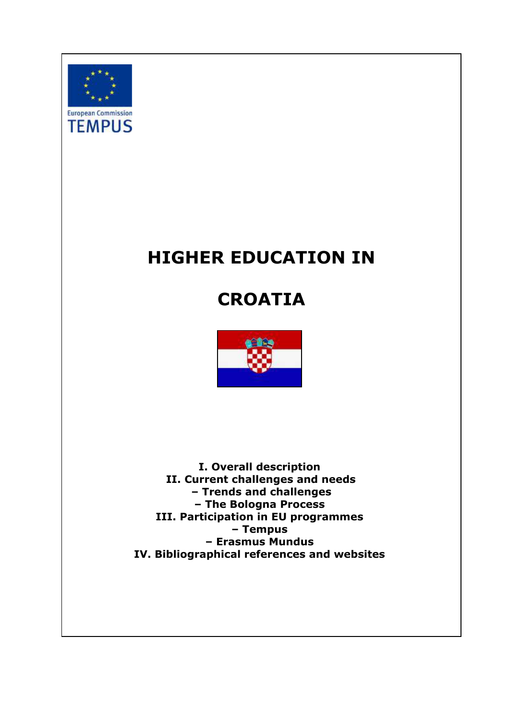<span id="page-0-0"></span>

# **HIGHER EDUCATION IN**

## **CROATIA**



**I. Overall description II. Current challenges and needs – Trends and challenges – The Bologna Process III. Participation in EU programmes – Tempus – Erasmus Mundus IV. Bibliographical references and websites**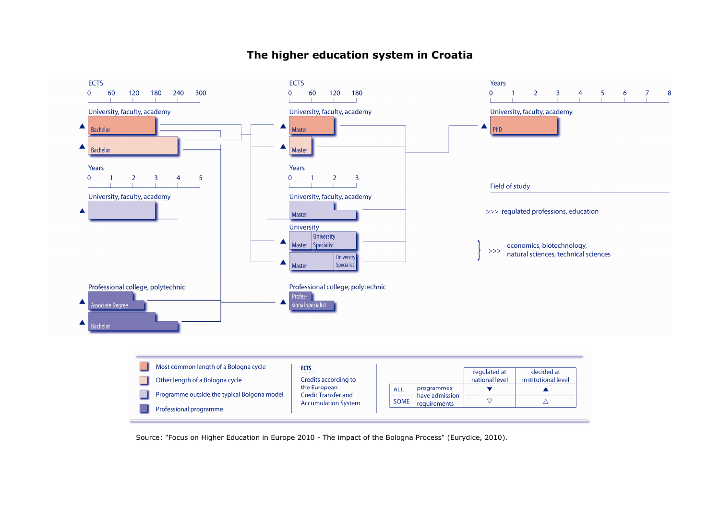#### **ECTS** Years 60 120 180 240 300  $\overline{0}$ 60 120 180  $\overline{0}$  $\overline{3}$  $5<sup>5</sup>$ 6  $\overline{2}$  $\overline{4}$  $\overline{7}$  $\overline{1}$  $\pm$ University, faculty, academy University, faculty, academy University, faculty, academy **Bachelor Master** PhD **Bachelor** Master Years  $\overline{3}$  $\overline{5}$  $\overline{0}$  $\overline{\mathbf{3}}$  $\overline{2}$  $\overline{2}$  $\overline{4}$ Field of study University, faculty, academy University, faculty, academy >>> regulated professions, education Master University University

8

economics, biotechnology,<br>natural sciences, technical sciences

 $>>$ 

### **The higher education system in Croatia**

**ECTS** 

Years

Professional college, polytechnic

**Associate Degree** 

Bachelor

 $\mathbf{0}$ 

 $\overline{0}$ 

▲

 $\blacktriangle$ 

▲

 $\blacktriangle$ 

| Most common length of a Bologna cycle       | <b>ECTS</b>                                |             |                                | regulated at   | decided at          |
|---------------------------------------------|--------------------------------------------|-------------|--------------------------------|----------------|---------------------|
| Other length of a Bologna cycle             | Credits according to                       |             |                                | national level | institutional level |
| Programme outside the typical Bolgona model | the European<br><b>Credit Transfer and</b> | ALL         | programmes                     |                |                     |
|                                             | <b>Accumulation System</b>                 | <b>SOME</b> | have admission<br>requirements |                |                     |
| Professional programme                      |                                            |             |                                |                |                     |

Source: "Focus on Higher Education in Europe 2010 - The impact of the Bologna Process" (Eurydice, 2010).

Master Specialist

sional specialist

Master

Profes-

University

Specialist

Professional college, polytechnic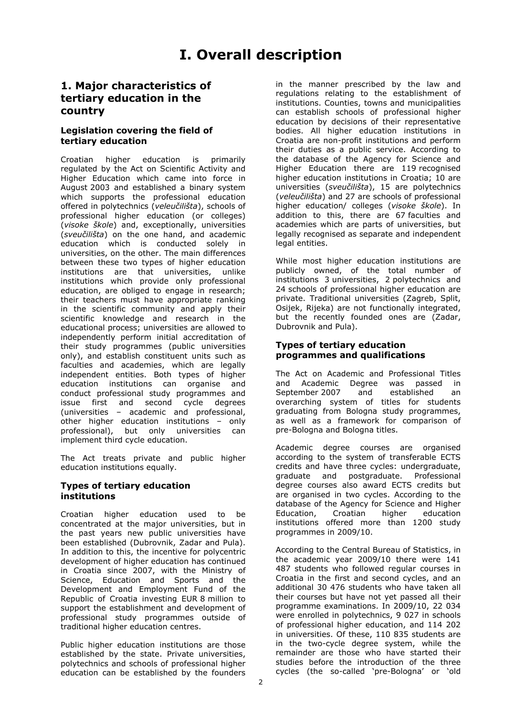### **1. Major characteristics of tertiary education in the country**

#### **Legislation covering the field of tertiary education**

Croatian higher education is primarily regulated by the Act on Scientific Activity and Higher Education which came into force in August 2003 and established a binary system which supports the professional education offered in polytechnics (*veleučilišta*), schools of professional higher education (or colleges) (*visoke škole*) and, exceptionally, universities (*sveučilišta*) on the one hand, and academic education which is conducted solely in universities, on the other. The main differences between these two types of higher education institutions are that universities, unlike institutions which provide only professional education, are obliged to engage in research; their teachers must have appropriate ranking in the scientific community and apply their scientific knowledge and research in the educational process; universities are allowed to independently perform initial accreditation of their study programmes (public universities only), and establish constituent units such as faculties and academies, which are legally independent entities. Both types of higher education institutions can organise and conduct professional study programmes and issue first and second cycle degrees (universities – academic and professional, other higher education institutions – only professional), but only universities can implement third cycle education.

The Act treats private and public higher education institutions equally.

#### **Types of tertiary education institutions**

Croatian higher education used to be concentrated at the major universities, but in the past years new public universities have been established (Dubrovnik, Zadar and Pula). In addition to this, the incentive for polycentric development of higher education has continued in Croatia since 2007, with the Ministry of Science, Education and Sports and the Development and Employment Fund of the Republic of Croatia investing EUR 8 million to support the establishment and development of professional study programmes outside of traditional higher education centres.

Public higher education institutions are those established by the state. Private universities, polytechnics and schools of professional higher education can be established by the founders

in the manner prescribed by the law and regulations relating to the establishment of institutions. Counties, towns and municipalities can establish schools of professional higher education by decisions of their representative bodies. All higher education institutions in Croatia are non-profit institutions and perform their duties as a public service. According to the database of the Agency for Science and Higher Education there are 119 recognised higher education institutions in Croatia; 10 are universities (*sveučilišta*), 15 are polytechnics (*veleučilišta*) and 27 are schools of professional higher education/ colleges (*visoke škole*). In addition to this, there are 67 faculties and academies which are parts of universities, but legally recognised as separate and independent legal entities.

While most higher education institutions are publicly owned, of the total number of institutions 3 universities, 2 polytechnics and 24 schools of professional higher education are private. Traditional universities (Zagreb, Split, Osijek, Rijeka) are not functionally integrated, but the recently founded ones are (Zadar, Dubrovnik and Pula).

#### **Types of tertiary education programmes and qualifications**

The Act on Academic and Professional Titles and Academic Degree was passed in September 2007 and established an overarching system of titles for students graduating from Bologna study programmes, as well as a framework for comparison of pre-Bologna and Bologna titles.

Academic degree courses are organised according to the system of transferable ECTS credits and have three cycles: undergraduate,<br>graduate and postgraduate. Professional graduate and postgraduate. degree courses also award ECTS credits but are organised in two cycles. According to the database of the Agency for Science and Higher Education, Croatian higher education institutions offered more than 1200 study programmes in 2009/10.

According to the Central Bureau of Statistics, in the academic year 2009/10 there were 141 487 students who followed regular courses in Croatia in the first and second cycles, and an additional 30 476 students who have taken all their courses but have not yet passed all their programme examinations. In 2009/10, 22 034 were enrolled in polytechnics, 9 027 in schools of professional higher education, and 114 202 in universities. Of these, 110 835 students are in the two-cycle degree system, while the remainder are those who have started their studies before the introduction of the three cycles (the so-called 'pre-Bologna' or 'old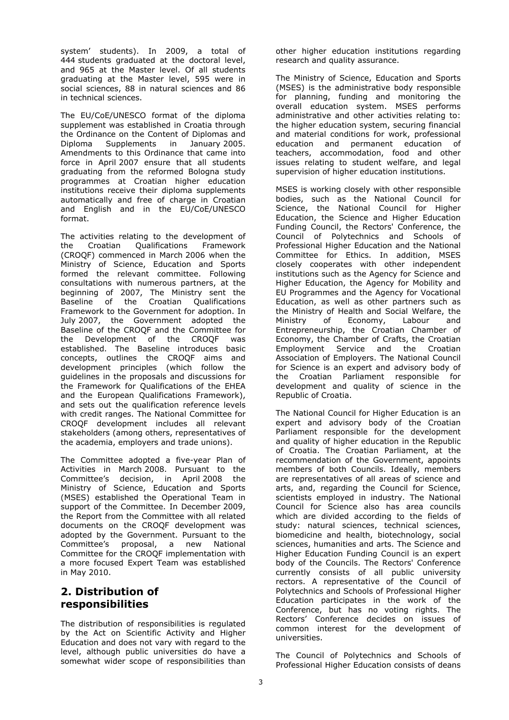system' students). In 2009, a total of 444 students graduated at the doctoral level, and 965 at the Master level. Of all students graduating at the Master level, 595 were in social sciences, 88 in natural sciences and 86 in technical sciences.

The EU/CoE/UNESCO format of the diploma supplement was established in Croatia through the Ordinance on the Content of Diplomas and Diploma Supplements in January 2005. Amendments to this Ordinance that came into force in April 2007 ensure that all students graduating from the reformed Bologna study programmes at Croatian higher education institutions receive their diploma supplements automatically and free of charge in Croatian and English and in the EU/CoE/UNESCO format.

The activities relating to the development of the Croatian Qualifications Framework (CROQF) commenced in March 2006 when the Ministry of Science, Education and Sports formed the relevant committee. Following consultations with numerous partners, at the beginning of 2007, The Ministry sent the Baseline of the Croatian Qualifications Framework to the Government for adoption. In July 2007, the Government adopted the Baseline of the CROQF and the Committee for the Development of the CROQF was established. The Baseline introduces basic concepts, outlines the CROQF aims and development principles (which follow the guidelines in the proposals and discussions for the Framework for Qualifications of the EHEA and the European Qualifications Framework), and sets out the qualification reference levels with credit ranges. The National Committee for CROQF development includes all relevant stakeholders (among others, representatives of the academia, employers and trade unions).

The Committee adopted a five-year Plan of Activities in March 2008. Pursuant to the Committee's decision, in April 2008 the Ministry of Science, Education and Sports (MSES) established the Operational Team in support of the Committee. In December 2009, the Report from the Committee with all related documents on the CROQF development was adopted by the Government. Pursuant to the Committee's proposal, a new National Committee for the CROQF implementation with a more focused Expert Team was established in May 2010.

### **2. Distribution of responsibilities**

The distribution of responsibilities is regulated by the Act on Scientific Activity and Higher Education and does not vary with regard to the level, although public universities do have a somewhat wider scope of responsibilities than

other higher education institutions regarding research and quality assurance.

The Ministry of Science, Education and Sports (MSES) is the administrative body responsible for planning, funding and monitoring the overall education system. MSES performs administrative and other activities relating to: the higher education system, securing financial and material conditions for work, professional education and permanent education of teachers, accommodation, food and other issues relating to student welfare, and legal supervision of higher education institutions.

MSES is working closely with other responsible bodies, such as the National Council for Science, the National Council for Higher Education, the Science and Higher Education Funding Council, the Rectors' Conference, the Council of Polytechnics and Schools of Professional Higher Education and the National Committee for Ethics. In addition, MSES closely cooperates with other independent institutions such as the Agency for Science and Higher Education, the Agency for Mobility and EU Programmes and the Agency for Vocational Education, as well as other partners such as the Ministry of Health and Social Welfare, the Ministry of Economy, Labour and Entrepreneurship, the Croatian Chamber of Economy, the Chamber of Crafts, the Croatian Employment Service and the Croatian Association of Employers. The National Council for Science is an expert and advisory body of the Croatian Parliament responsible for development and quality of science in the Republic of Croatia.

The National Council for Higher Education is an expert and advisory body of the Croatian Parliament responsible for the development and quality of higher education in the Republic of Croatia. The Croatian Parliament, at the recommendation of the Government, appoints members of both Councils. Ideally, members are representatives of all areas of science and arts, and, regarding the Council for Science, scientists employed in industry. The National Council for Science also has area councils which are divided according to the fields of study: natural sciences, technical sciences, biomedicine and health, biotechnology, social sciences, humanities and arts. The Science and Higher Education Funding Council is an expert body of the Councils. The Rectors' Conference currently consists of all public university rectors. A representative of the Council of Polytechnics and Schools of Professional Higher Education participates in the work of the Conference, but has no voting rights. The Rectors' Conference decides on issues of common interest for the development of universities.

The Council of Polytechnics and Schools of Professional Higher Education consists of deans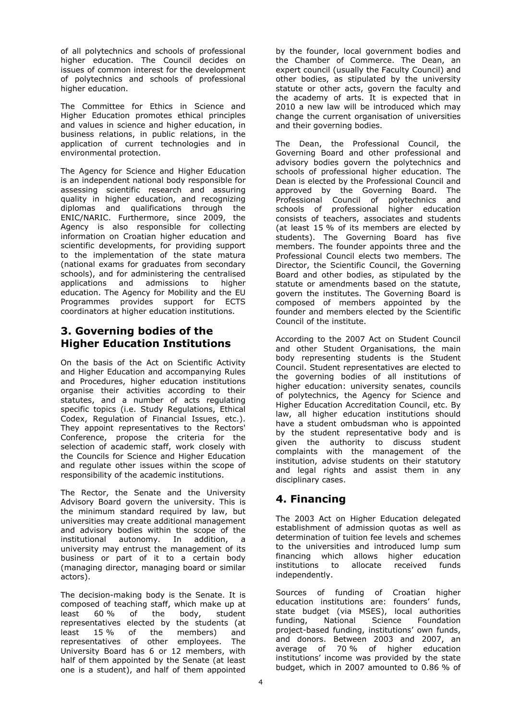of all polytechnics and schools of professional higher education. The Council decides on issues of common interest for the development of polytechnics and schools of professional higher education.

The Committee for Ethics in Science and Higher Education promotes ethical principles and values in science and higher education, in business relations, in public relations, in the application of current technologies and in environmental protection.

The Agency for Science and Higher Education is an independent national body responsible for assessing scientific research and assuring quality in higher education, and recognizing diplomas and qualifications through the ENIC/NARIC. Furthermore, since 2009, the Agency is also responsible for collecting information on Croatian higher education and scientific developments, for providing support to the implementation of the state matura (national exams for graduates from secondary schools), and for administering the centralised applications and admissions to higher education. The Agency for Mobility and the EU Programmes provides support for ECTS coordinators at higher education institutions.

### **3. Governing bodies of the Higher Education Institutions**

On the basis of the Act on Scientific Activity and Higher Education and accompanying Rules and Procedures, higher education institutions organise their activities according to their statutes, and a number of acts regulating specific topics (i.e. Study Regulations, Ethical Codex, Regulation of Financial Issues, etc.). They appoint representatives to the Rectors' Conference, propose the criteria for the selection of academic staff, work closely with the Councils for Science and Higher Education and regulate other issues within the scope of responsibility of the academic institutions.

The Rector, the Senate and the University Advisory Board govern the university. This is the minimum standard required by law, but universities may create additional management and advisory bodies within the scope of the institutional autonomy. In addition, a university may entrust the management of its business or part of it to a certain body (managing director, managing board or similar actors).

The decision-making body is the Senate. It is composed of teaching staff, which make up at least 60 % of the body, student representatives elected by the students (at least 15 % of the members) and representatives of other employees. The University Board has 6 or 12 members, with half of them appointed by the Senate (at least one is a student), and half of them appointed

by the founder, local government bodies and the Chamber of Commerce. The Dean, an expert council (usually the Faculty Council) and other bodies, as stipulated by the university statute or other acts, govern the faculty and the academy of arts. It is expected that in 2010 a new law will be introduced which may change the current organisation of universities and their governing bodies.

The Dean, the Professional Council, the Governing Board and other professional and advisory bodies govern the polytechnics and schools of professional higher education. The Dean is elected by the Professional Council and approved by the Governing Board. The Professional Council of polytechnics and schools of professional higher education consists of teachers, associates and students (at least 15 % of its members are elected by students). The Governing Board has five members. The founder appoints three and the Professional Council elects two members. The Director, the Scientific Council, the Governing Board and other bodies, as stipulated by the statute or amendments based on the statute, govern the institutes. The Governing Board is composed of members appointed by the founder and members elected by the Scientific Council of the institute.

According to the 2007 Act on Student Council and other Student Organisations, the main body representing students is the Student Council. Student representatives are elected to the governing bodies of all institutions of higher education: university senates, councils of polytechnics, the Agency for Science and Higher Education Accreditation Council, etc. By law, all higher education institutions should have a student ombudsman who is appointed by the student representative body and is given the authority to discuss student complaints with the management of the institution, advise students on their statutory and legal rights and assist them in any disciplinary cases.

### **4. Financing**

The 2003 Act on Higher Education delegated establishment of admission quotas as well as determination of tuition fee levels and schemes to the universities and introduced lump sum financing which allows higher education institutions to allocate received funds independently.

Sources of funding of Croatian higher education institutions are: founders' funds, state budget (via MSES), local authorities funding, National Science Foundation project-based funding, institutions' own funds, and donors. Between 2003 and 2007, an average of 70 % of higher education institutions' income was provided by the state budget, which in 2007 amounted to 0.86 % of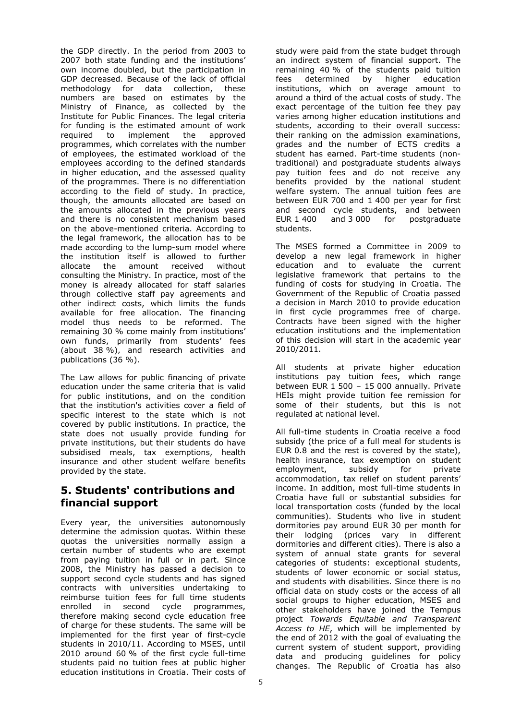the GDP directly. In the period from 2003 to 2007 both state funding and the institutions' own income doubled, but the participation in GDP decreased. Because of the lack of official methodology for data collection, these numbers are based on estimates by the Ministry of Finance, as collected by the Institute for Public Finances. The legal criteria for funding is the estimated amount of work required to implement the approved programmes, which correlates with the number of employees, the estimated workload of the employees according to the defined standards in higher education, and the assessed quality of the programmes. There is no differentiation according to the field of study. In practice, though, the amounts allocated are based on the amounts allocated in the previous years and there is no consistent mechanism based on the above-mentioned criteria. According to the legal framework, the allocation has to be made according to the lump-sum model where the institution itself is allowed to further allocate the amount received without consulting the Ministry. In practice, most of the money is already allocated for staff salaries through collective staff pay agreements and other indirect costs, which limits the funds available for free allocation. The financing model thus needs to be reformed. The remaining 30 % come mainly from institutions' own funds, primarily from students' fees (about 38 %), and research activities and publications (36 %).

The Law allows for public financing of private education under the same criteria that is valid for public institutions, and on the condition that the institution's activities cover a field of specific interest to the state which is not covered by public institutions. In practice, the state does not usually provide funding for private institutions, but their students do have subsidised meals, tax exemptions, health insurance and other student welfare benefits provided by the state.

### **5. Students' contributions and financial support**

Every year, the universities autonomously determine the admission quotas. Within these quotas the universities normally assign a certain number of students who are exempt from paying tuition in full or in part. Since 2008, the Ministry has passed a decision to support second cycle students and has signed contracts with universities undertaking to reimburse tuition fees for full time students enrolled in second cycle programmes, therefore making second cycle education free of charge for these students. The same will be implemented for the first year of first-cycle students in 2010/11. According to MSES, until 2010 around 60 % of the first cycle full-time students paid no tuition fees at public higher education institutions in Croatia. Their costs of study were paid from the state budget through an indirect system of financial support. The remaining 40 % of the students paid tuition fees determined by higher education institutions, which on average amount to around a third of the actual costs of study. The exact percentage of the tuition fee they pay varies among higher education institutions and students, according to their overall success: their ranking on the admission examinations, grades and the number of ECTS credits a student has earned. Part-time students (nontraditional) and postgraduate students always pay tuition fees and do not receive any benefits provided by the national student welfare system. The annual tuition fees are between EUR 700 and 1 400 per year for first and second cycle students, and between EUR 1 400 and 3 000 for postgraduate students.

The MSES formed a Committee in 2009 to develop a new legal framework in higher education and to evaluate the current legislative framework that pertains to the funding of costs for studying in Croatia. The Government of the Republic of Croatia passed a decision in March 2010 to provide education in first cycle programmes free of charge. Contracts have been signed with the higher education institutions and the implementation of this decision will start in the academic year 2010/2011.

All students at private higher education institutions pay tuition fees, which range between EUR 1 500 – 15 000 annually. Private HEIs might provide tuition fee remission for some of their students, but this is not regulated at national level.

All full-time students in Croatia receive a food subsidy (the price of a full meal for students is EUR 0.8 and the rest is covered by the state), health insurance, tax exemption on student employment, subsidy for private accommodation, tax relief on student parents' income. In addition, most full-time students in Croatia have full or substantial subsidies for local transportation costs (funded by the local communities). Students who live in student dormitories pay around EUR 30 per month for their lodging (prices vary in different dormitories and different cities). There is also a system of annual state grants for several categories of students: exceptional students, students of lower economic or social status, and students with disabilities. Since there is no official data on study costs or the access of all social groups to higher education, MSES and other stakeholders have joined the Tempus project *Towards Equitable and Transparent Access to HE*, which will be implemented by the end of 2012 with the goal of evaluating the current system of student support, providing data and producing guidelines for policy changes. The Republic of Croatia has also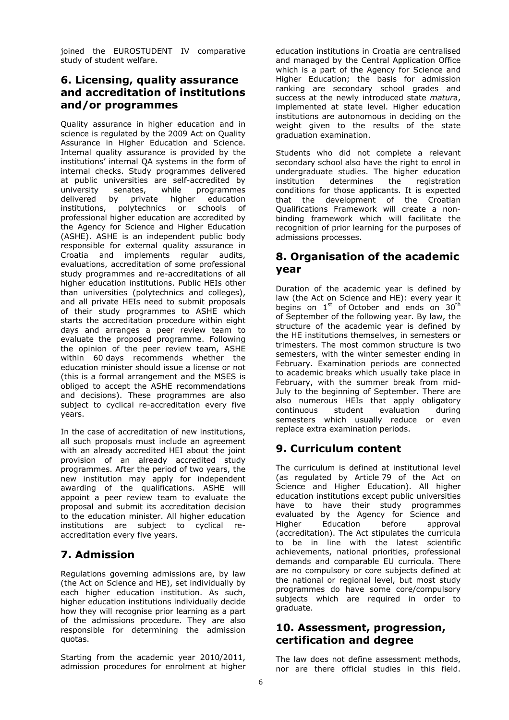joined the EUROSTUDENT IV comparative study of student welfare.

### **6. Licensing, quality assurance and accreditation of institutions and/or programmes**

Quality assurance in higher education and in science is regulated by the 2009 Act on Quality Assurance in Higher Education and Science. Internal quality assurance is provided by the institutions' internal QA systems in the form of internal checks. Study programmes delivered at public universities are self-accredited by university senates, while programmes delivered by private higher education institutions, polytechnics or schools of professional higher education are accredited by the Agency for Science and Higher Education (ASHE). ASHE is an independent public body responsible for external quality assurance in Croatia and implements regular audits, evaluations, accreditation of some professional study programmes and re-accreditations of all higher education institutions. Public HEIs other than universities (polytechnics and colleges), and all private HEIs need to submit proposals of their study programmes to ASHE which starts the accreditation procedure within eight days and arranges a peer review team to evaluate the proposed programme. Following the opinion of the peer review team, ASHE within 60 days recommends whether the education minister should issue a license or not (this is a formal arrangement and the MSES is obliged to accept the ASHE recommendations and decisions). These programmes are also subject to cyclical re-accreditation every five years.

In the case of accreditation of new institutions, all such proposals must include an agreement with an already accredited HEI about the joint provision of an already accredited study programmes. After the period of two years, the new institution may apply for independent awarding of the qualifications. ASHE will appoint a peer review team to evaluate the proposal and submit its accreditation decision to the education minister. All higher education institutions are subject to cyclical reaccreditation every five years.

### **7. Admission**

Regulations governing admissions are, by law (the Act on Science and HE), set individually by each higher education institution. As such, higher education institutions individually decide how they will recognise prior learning as a part of the admissions procedure. They are also responsible for determining the admission quotas.

Starting from the academic year 2010/2011, admission procedures for enrolment at higher education institutions in Croatia are centralised and managed by the Central Application Office which is a part of the Agency for Science and Higher Education; the basis for admission ranking are secondary school grades and success at the newly introduced state *matur*a, implemented at state level. Higher education institutions are autonomous in deciding on the weight given to the results of the state graduation examination.

Students who did not complete a relevant secondary school also have the right to enrol in undergraduate studies. The higher education institution determines the registration conditions for those applicants. It is expected that the development of the Croatian Qualifications Framework will create a nonbinding framework which will facilitate the recognition of prior learning for the purposes of admissions processes.

### **8. Organisation of the academic year**

Duration of the academic year is defined by law (the Act on Science and HE): every year it begins on  $1^{st}$  of October and ends on  $30^{th}$ of September of the following year. By law, the structure of the academic year is defined by the HE institutions themselves, in semesters or trimesters. The most common structure is two semesters, with the winter semester ending in February. Examination periods are connected to academic breaks which usually take place in February, with the summer break from mid-July to the beginning of September. There are also numerous HEIs that apply obligatory continuous student evaluation during semesters which usually reduce or even replace extra examination periods.

### **9. Curriculum content**

The curriculum is defined at institutional level (as regulated by Article 79 of the Act on Science and Higher Education). All higher education institutions except public universities have to have their study programmes evaluated by the Agency for Science and Higher Education before approval (accreditation). The Act stipulates the curricula to be in line with the latest scientific achievements, national priorities, professional demands and comparable EU curricula. There are no compulsory or core subjects defined at the national or regional level, but most study programmes do have some core/compulsory subjects which are required in order to graduate.

### **10. Assessment, progression, certification and degree**

The law does not define assessment methods, nor are there official studies in this field.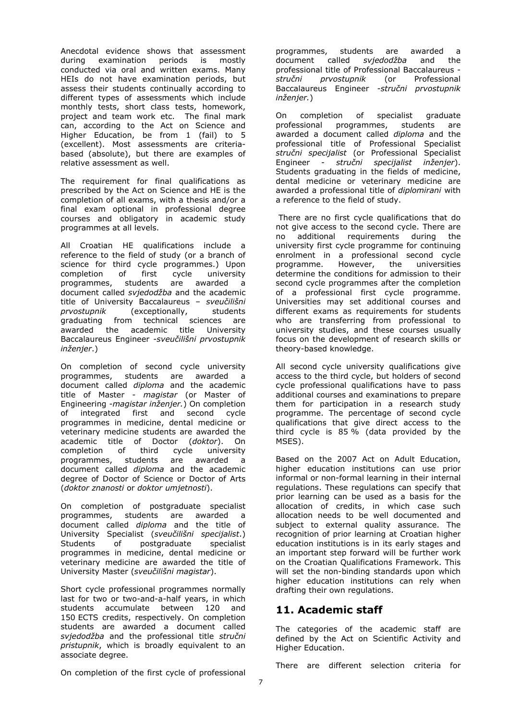Anecdotal evidence shows that assessment during examination periods is mostly conducted via oral and written exams. Many HEIs do not have examination periods, but assess their students continually according to different types of assessments which include monthly tests, short class tests, homework, project and team work etc. The final mark can, according to the Act on Science and Higher Education, be from 1 (fail) to 5 (excellent). Most assessments are criteriabased (absolute), but there are examples of relative assessment as well.

The requirement for final qualifications as prescribed by the Act on Science and HE is the completion of all exams, with a thesis and/or a final exam optional in professional degree courses and obligatory in academic study programmes at all levels.

All Croatian HE qualifications include a reference to the field of study (or a branch of science for third cycle programmes.) Upon completion of first cycle university programmes, students are awarded a document called *svjedodžba* and the academic title of University Baccalaureus – *sveučilišni prvostupnik* (exceptionally, students graduating from technical sciences are awarded the academic title University Baccalaureus Engineer -*sveučilišni prvostupnik inženjer*.)

On completion of second cycle university programmes, students are awarded a document called *diploma* and the academic title of Master *- magistar* (or Master of Engineering -*magistar inženjer.*) On completion of integrated first and second cycle programmes in medicine, dental medicine or veterinary medicine students are awarded the academic title of Doctor (*doktor*). On completion of third cycle university programmes, students are awarded a document called *diploma* and the academic degree of Doctor of Science or Doctor of Arts (*doktor znanosti* or *doktor umjetnosti*).

On completion of postgraduate specialist programmes, students are awarded a document called *diploma* and the title of University Specialist (*sveučilišni specijalist*.) Students of postgraduate specialist programmes in medicine, dental medicine or veterinary medicine are awarded the title of University Master (*sveučilišni magistar*).

Short cycle professional programmes normally last for two or two-and-a-half years, in which students accumulate between 120 and 150 ECTS credits, respectively. On completion students are awarded a document called *svjedodžba* and the professional title *stručni pristupnik*, which is broadly equivalent to an associate degree.

programmes, students are awarded a document called *svjedodžba* and the professional title of Professional Baccalaureus *stručni prvostupnik* (or Professional Baccalaureus Engineer -*stručni prvostupnik inženjer.*)

On completion of specialist graduate professional programmes, students are awarded a document called *diploma* and the professional title of Professional Specialist *stručni specijalist* (or Professional Specialist Engineer - *stručni specijalist inženjer*). Students graduating in the fields of medicine, dental medicine or veterinary medicine are awarded a professional title of *diplomirani* with a reference to the field of study.

 There are no first cycle qualifications that do not give access to the second cycle. There are no additional requirements during the university first cycle programme for continuing enrolment in a professional second cycle programme. However, the universities determine the conditions for admission to their second cycle programmes after the completion of a professional first cycle programme. Universities may set additional courses and different exams as requirements for students who are transferring from professional to university studies, and these courses usually focus on the development of research skills or theory-based knowledge.

All second cycle university qualifications give access to the third cycle, but holders of second cycle professional qualifications have to pass additional courses and examinations to prepare them for participation in a research study programme. The percentage of second cycle qualifications that give direct access to the third cycle is 85 % (data provided by the MSES).

Based on the 2007 Act on Adult Education, higher education institutions can use prior informal or non-formal learning in their internal regulations. These regulations can specify that prior learning can be used as a basis for the allocation of credits, in which case such allocation needs to be well documented and subject to external quality assurance. The recognition of prior learning at Croatian higher education institutions is in its early stages and an important step forward will be further work on the Croatian Qualifications Framework. This will set the non-binding standards upon which higher education institutions can rely when drafting their own regulations.

### **11. Academic staff**

The categories of the academic staff are defined by the Act on Scientific Activity and Higher Education.

On completion of the first cycle of professional

There are different selection criteria for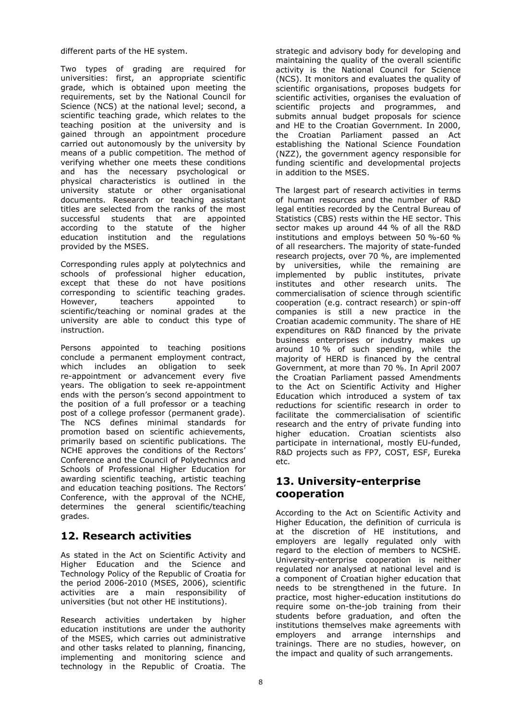different parts of the HE system.

Two types of grading are required for universities: first, an appropriate scientific grade, which is obtained upon meeting the requirements, set by the National Council for Science (NCS) at the national level; second, a scientific teaching grade, which relates to the teaching position at the university and is gained through an appointment procedure carried out autonomously by the university by means of a public competition. The method of verifying whether one meets these conditions and has the necessary psychological or physical characteristics is outlined in the university statute or other organisational documents. Research or teaching assistant titles are selected from the ranks of the most successful students that are appointed according to the statute of the higher education institution and the regulations provided by the MSES.

Corresponding rules apply at polytechnics and schools of professional higher education, except that these do not have positions corresponding to scientific teaching grades. However, teachers appointed to scientific/teaching or nominal grades at the university are able to conduct this type of instruction.

Persons appointed to teaching positions conclude a permanent employment contract, which includes an obligation to seek re-appointment or advancement every five years. The obligation to seek re-appointment ends with the person's second appointment to the position of a full professor or a teaching post of a college professor (permanent grade). The NCS defines minimal standards for promotion based on scientific achievements, primarily based on scientific publications. The NCHE approves the conditions of the Rectors' Conference and the Council of Polytechnics and Schools of Professional Higher Education for awarding scientific teaching, artistic teaching and education teaching positions. The Rectors' Conference, with the approval of the NCHE, determines the general scientific/teaching grades.

### **12. Research activities**

As stated in the Act on Scientific Activity and Higher Education and the Science and Technology Policy of the Republic of Croatia for the period 2006-2010 (MSES, 2006), scientific activities are a main responsibility of universities (but not other HE institutions).

Research activities undertaken by higher education institutions are under the authority of the MSES, which carries out administrative and other tasks related to planning, financing, implementing and monitoring science and technology in the Republic of Croatia. The strategic and advisory body for developing and maintaining the quality of the overall scientific activity is the National Council for Science (NCS). It monitors and evaluates the quality of scientific organisations, proposes budgets for scientific activities, organises the evaluation of scientific projects and programmes, and submits annual budget proposals for science and HE to the Croatian Government. In 2000, the Croatian Parliament passed an Act establishing the National Science Foundation (NZZ), the government agency responsible for funding scientific and developmental projects in addition to the MSES.

The largest part of research activities in terms of human resources and the number of R&D legal entities recorded by the Central Bureau of Statistics (CBS) rests within the HE sector. This sector makes up around 44 % of all the R&D institutions and employs between 50 %-60 % of all researchers. The majority of state-funded research projects, over 70 %, are implemented by universities, while the remaining are implemented by public institutes, private institutes and other research units. The commercialisation of science through scientific cooperation (e.g. contract research) or spin-off companies is still a new practice in the Croatian academic community. The share of HE expenditures on R&D financed by the private business enterprises or industry makes up around 10 % of such spending, while the majority of HERD is financed by the central Government, at more than 70 %. In April 2007 the Croatian Parliament passed Amendments to the Act on Scientific Activity and Higher Education which introduced a system of tax reductions for scientific research in order to facilitate the commercialisation of scientific research and the entry of private funding into higher education. Croatian scientists also participate in international, mostly EU-funded, R&D projects such as FP7, COST, ESF, Eureka etc.

### **13. University-enterprise cooperation**

According to the Act on Scientific Activity and Higher Education, the definition of curricula is at the discretion of HE institutions, and employers are legally regulated only with regard to the election of members to NCSHE. University-enterprise cooperation is neither regulated nor analysed at national level and is a component of Croatian higher education that needs to be strengthened in the future. In practice, most higher-education institutions do require some on-the-job training from their students before graduation, and often the institutions themselves make agreements with employers and arrange internships and trainings. There are no studies, however, on the impact and quality of such arrangements.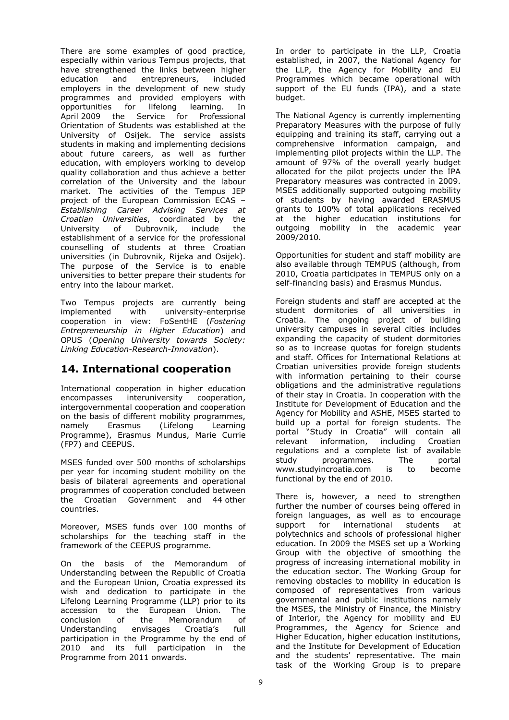There are some examples of good practice, especially within various Tempus projects, that have strengthened the links between higher education and entrepreneurs, included employers in the development of new study programmes and provided employers with opportunities for lifelong learning. In April 2009 the Service for Professional Orientation of Students was established at the University of Osijek. The service assists students in making and implementing decisions about future careers, as well as further education, with employers working to develop quality collaboration and thus achieve a better correlation of the University and the labour market. The activities of the Tempus JEP project of the European Commission ECAS – *Establishing Career Advising Services at Croatian Universities*, coordinated by the University of Dubrovnik, include the establishment of a service for the professional counselling of students at three Croatian universities (in Dubrovnik, Rijeka and Osijek). The purpose of the Service is to enable universities to better prepare their students for entry into the labour market.

Two Tempus projects are currently being implemented with university-enterprise cooperation in view: FoSentHE (*Fostering Entrepreneurship in Higher Education*) and OPUS (*Opening University towards Society: Linking Education-Research-Innovation*).

#### **14. International cooperation**

International cooperation in higher education encompasses interuniversity cooperation, intergovernmental cooperation and cooperation on the basis of different mobility programmes, namely Erasmus (Lifelong Learning Programme), Erasmus Mundus, Marie Currie (FP7) and CEEPUS.

MSES funded over 500 months of scholarships per year for incoming student mobility on the basis of bilateral agreements and operational programmes of cooperation concluded between the Croatian Government and 44 other countries.

Moreover, MSES funds over 100 months of scholarships for the teaching staff in the framework of the CEEPUS programme.

On the basis of the Memorandum of Understanding between the Republic of Croatia and the European Union, Croatia expressed its wish and dedication to participate in the Lifelong Learning Programme (LLP) prior to its accession to the European Union. The conclusion of the Memorandum of Understanding envisages Croatia's full participation in the Programme by the end of 2010 and its full participation in the Programme from 2011 onwards.

In order to participate in the LLP, Croatia established, in 2007, the National Agency for the LLP, the Agency for Mobility and EU Programmes which became operational with support of the EU funds (IPA), and a state budget.

The National Agency is currently implementing Preparatory Measures with the purpose of fully equipping and training its staff, carrying out a comprehensive information campaign, and implementing pilot projects within the LLP. The amount of 97% of the overall yearly budget allocated for the pilot projects under the IPA Preparatory measures was contracted in 2009. MSES additionally supported outgoing mobility of students by having awarded ERASMUS grants to 100% of total applications received at the higher education institutions for outgoing mobility in the academic year 2009/2010.

Opportunities for student and staff mobility are also available through TEMPUS (although, from 2010, Croatia participates in TEMPUS only on a self-financing basis) and Erasmus Mundus.

Foreign students and staff are accepted at the student dormitories of all universities in Croatia. The ongoing project of building university campuses in several cities includes expanding the capacity of student dormitories so as to increase quotas for foreign students and staff. Offices for International Relations at Croatian universities provide foreign students with information pertaining to their course obligations and the administrative regulations of their stay in Croatia. In cooperation with the Institute for Development of Education and the Agency for Mobility and ASHE, MSES started to build up a portal for foreign students. The portal "Study in Croatia" will contain all relevant information, including Croatian regulations and a complete list of available study programmes. The portal www.studyincroatia.com is to become functional by the end of 2010.

There is, however, a need to strengthen further the number of courses being offered in foreign languages, as well as to encourage support for international students at polytechnics and schools of professional higher education. In 2009 the MSES set up a Working Group with the objective of smoothing the progress of increasing international mobility in the education sector. The Working Group for removing obstacles to mobility in education is composed of representatives from various governmental and public institutions namely the MSES, the Ministry of Finance, the Ministry of Interior, the Agency for mobility and EU Programmes, the Agency for Science and Higher Education, higher education institutions, and the Institute for Development of Education and the students' representative. The main task of the Working Group is to prepare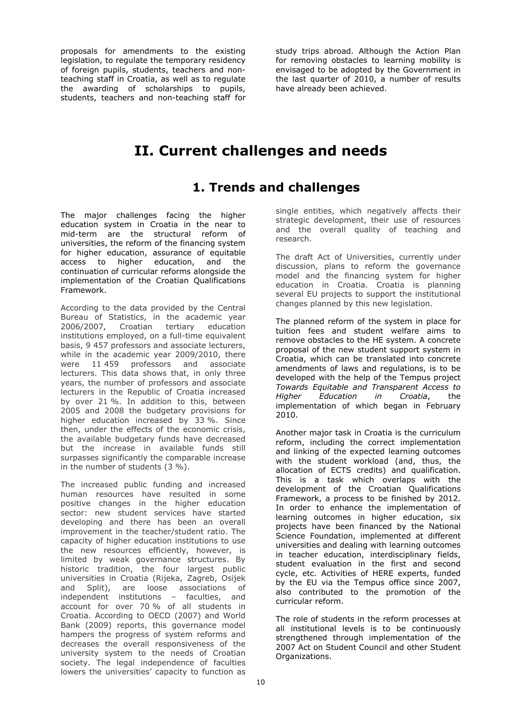proposals for amendments to the existing legislation, to regulate the temporary residency of foreign pupils, students, teachers and nonteaching staff in Croatia, as well as to regulate the awarding of scholarships to pupils, students, teachers and non-teaching staff for

study trips abroad. Although the Action Plan for removing obstacles to learning mobility is envisaged to be adopted by the Government in the last quarter of 2010, a number of results have already been achieved.

### **II. Current challenges and needs**

### **1. Trends and challenges**

The major challenges facing the higher education system in Croatia in the near to mid-term are the structural reform of universities, the reform of the financing system for higher education, assurance of equitable access to higher education, and the continuation of curricular reforms alongside the implementation of the Croatian Qualifications Framework.

According to the data provided by the Central Bureau of Statistics, in the academic year 2006/2007, Croatian tertiary education institutions employed, on a full-time equivalent basis, 9 457 professors and associate lecturers, while in the academic year 2009/2010, there were 11 459 professors and associate lecturers. This data shows that, in only three years, the number of professors and associate lecturers in the Republic of Croatia increased by over 21 %. In addition to this, between 2005 and 2008 the budgetary provisions for higher education increased by 33 %. Since then, under the effects of the economic crisis, the available budgetary funds have decreased but the increase in available funds still surpasses significantly the comparable increase in the number of students (3 %).

The increased public funding and increased human resources have resulted in some positive changes in the higher education sector: new student services have started developing and there has been an overall improvement in the teacher/student ratio. The capacity of higher education institutions to use the new resources efficiently, however, is limited by weak governance structures. By historic tradition, the four largest public universities in Croatia (Rijeka, Zagreb, Osijek and Split), are loose associations of independent institutions – faculties, and account for over 70 % of all students in Croatia. According to OECD (2007) and World Bank (2009) reports, this governance model hampers the progress of system reforms and decreases the overall responsiveness of the university system to the needs of Croatian society. The legal independence of faculties lowers the universities' capacity to function as

single entities, which negatively affects their strategic development, their use of resources and the overall quality of teaching and research.

The draft Act of Universities, currently under discussion, plans to reform the governance model and the financing system for higher education in Croatia. Croatia is planning several EU projects to support the institutional changes planned by this new legislation.

The planned reform of the system in place for tuition fees and student welfare aims to remove obstacles to the HE system. A concrete proposal of the new student support system in Croatia, which can be translated into concrete amendments of laws and regulations, is to be developed with the help of the Tempus project *Towards Equitable and Transparent Access to Higher Education in Croatia*, the implementation of which began in February 2010.

Another major task in Croatia is the curriculum reform, including the correct implementation and linking of the expected learning outcomes with the student workload (and, thus, the allocation of ECTS credits) and qualification. This is a task which overlaps with the development of the Croatian Qualifications Framework, a process to be finished by 2012. In order to enhance the implementation of learning outcomes in higher education, six projects have been financed by the National Science Foundation, implemented at different universities and dealing with learning outcomes in teacher education, interdisciplinary fields, student evaluation in the first and second cycle, etc. Activities of HERE experts, funded by the EU via the Tempus office since 2007, also contributed to the promotion of the curricular reform.

The role of students in the reform processes at all institutional levels is to be continuously strengthened through implementation of the 2007 Act on Student Council and other Student Organizations.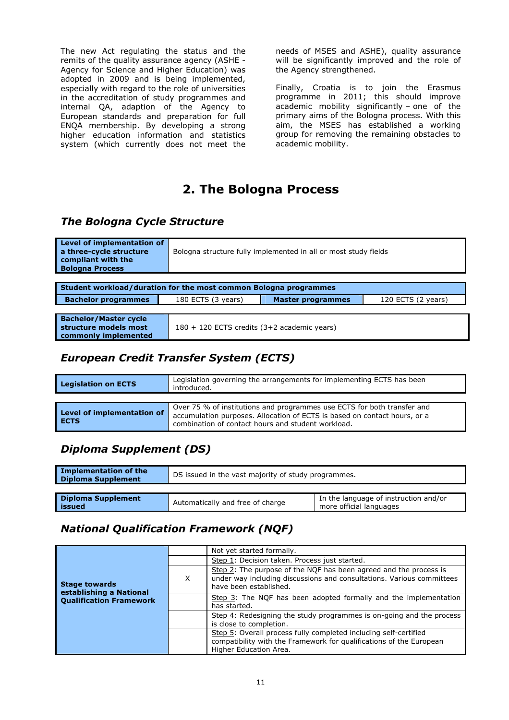The new Act regulating the status and the remits of the quality assurance agency (ASHE - Agency for Science and Higher Education) was adopted in 2009 and is being implemented, especially with regard to the role of universities in the accreditation of study programmes and internal QA, adaption of the Agency to European standards and preparation for full ENQA membership. By developing a strong higher education information and statistics system (which currently does not meet the needs of MSES and ASHE), quality assurance will be significantly improved and the role of the Agency strengthened.

Finally, Croatia is to join the Erasmus programme in 2011; this should improve academic mobility significantly – one of the primary aims of the Bologna process. With this aim, the MSES has established a working group for removing the remaining obstacles to academic mobility.

### **2. The Bologna Process**

### *The Bologna Cycle Structure*

| Level of implementation of<br>a three-cycle structure<br>compliant with the<br><b>Bologna Process</b> | Bologna structure fully implemented in all or most study fields |                                             |                    |  |  |  |  |  |  |
|-------------------------------------------------------------------------------------------------------|-----------------------------------------------------------------|---------------------------------------------|--------------------|--|--|--|--|--|--|
|                                                                                                       |                                                                 |                                             |                    |  |  |  |  |  |  |
| Student workload/duration for the most common Bologna programmes                                      |                                                                 |                                             |                    |  |  |  |  |  |  |
| <b>Bachelor programmes</b>                                                                            | 180 ECTS (3 years)                                              | <b>Master programmes</b>                    | 120 ECTS (2 years) |  |  |  |  |  |  |
|                                                                                                       |                                                                 |                                             |                    |  |  |  |  |  |  |
| <b>Bachelor/Master cycle</b><br>structure models most<br>commonly implemented                         |                                                                 | 180 + 120 ECTS credits (3+2 academic years) |                    |  |  |  |  |  |  |

### *European Credit Transfer System (ECTS)*

| Legislation governing the arrangements for implementing ECTS has been<br><b>Legislation on ECTS</b><br>introduced. |                                                                                                                                                                                                            |  |  |  |
|--------------------------------------------------------------------------------------------------------------------|------------------------------------------------------------------------------------------------------------------------------------------------------------------------------------------------------------|--|--|--|
| Level of implementation of<br>I ECTS                                                                               | Over 75 % of institutions and programmes use ECTS for both transfer and<br>accumulation purposes. Allocation of ECTS is based on contact hours, or a<br>combination of contact hours and student workload. |  |  |  |

### *Diploma Supplement (DS)*

| <b>Implementation of the</b><br><b>Diploma Supplement</b> | DS issued in the vast majority of study programmes. |                                                                  |  |  |  |
|-----------------------------------------------------------|-----------------------------------------------------|------------------------------------------------------------------|--|--|--|
|                                                           |                                                     |                                                                  |  |  |  |
| <b>Diploma Supplement</b><br>issued                       | Automatically and free of charge                    | In the language of instruction and/or<br>more official languages |  |  |  |

### *National Qualification Framework (NQF)*

|                                                 |   | Not yet started formally.                                                                                                                                            |
|-------------------------------------------------|---|----------------------------------------------------------------------------------------------------------------------------------------------------------------------|
|                                                 |   | Step 1: Decision taken. Process just started.                                                                                                                        |
| <b>Stage towards</b><br>establishing a National | X | Step 2: The purpose of the NOF has been agreed and the process is<br>under way including discussions and consultations. Various committees<br>have been established. |
| <b>Qualification Framework</b>                  |   | Step 3: The NQF has been adopted formally and the implementation<br>has started.                                                                                     |
|                                                 |   | Step 4: Redesigning the study programmes is on-going and the process<br>is close to completion.                                                                      |
|                                                 |   | Step 5: Overall process fully completed including self-certified<br>compatibility with the Framework for qualifications of the European<br>Higher Education Area.    |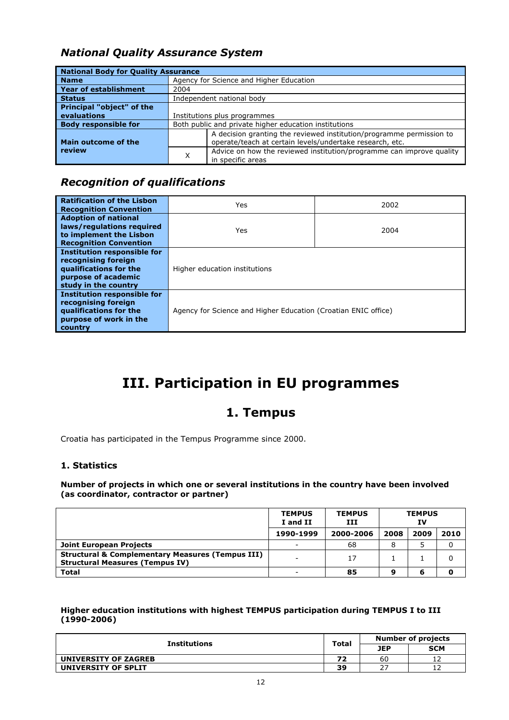### *National Quality Assurance System*

| <b>National Body for Quality Assurance</b> |                              |                                                                                                                                  |  |  |  |
|--------------------------------------------|------------------------------|----------------------------------------------------------------------------------------------------------------------------------|--|--|--|
| <b>Name</b>                                |                              | Agency for Science and Higher Education                                                                                          |  |  |  |
| <b>Year of establishment</b>               | 2004                         |                                                                                                                                  |  |  |  |
| <b>Status</b>                              |                              | Independent national body                                                                                                        |  |  |  |
| <b>Principal "object" of the</b>           |                              |                                                                                                                                  |  |  |  |
| evaluations                                | Institutions plus programmes |                                                                                                                                  |  |  |  |
| <b>Body responsible for</b>                |                              | Both public and private higher education institutions                                                                            |  |  |  |
| Main outcome of the                        |                              | A decision granting the reviewed institution/programme permission to<br>operate/teach at certain levels/undertake research, etc. |  |  |  |
| review                                     | X                            | Advice on how the reviewed institution/programme can improve quality<br>in specific areas                                        |  |  |  |

### *Recognition of qualifications*

| <b>Ratification of the Lisbon</b><br><b>Recognition Convention</b>                                                                 | 2002<br>Yes                   |                                                                |  |  |  |
|------------------------------------------------------------------------------------------------------------------------------------|-------------------------------|----------------------------------------------------------------|--|--|--|
| <b>Adoption of national</b><br>laws/regulations required<br>to implement the Lisbon<br><b>Recognition Convention</b>               | 2004<br>Yes                   |                                                                |  |  |  |
| <b>Institution responsible for</b><br>recognising foreign<br>qualifications for the<br>purpose of academic<br>study in the country | Higher education institutions |                                                                |  |  |  |
| <b>Institution responsible for</b><br>recognising foreign<br>qualifications for the<br>purpose of work in the<br>country           |                               | Agency for Science and Higher Education (Croatian ENIC office) |  |  |  |

## **III. Participation in EU programmes**

### **1. Tempus**

Croatia has participated in the Tempus Programme since 2000.

#### **1. Statistics**

**Number of projects in which one or several institutions in the country have been involved (as coordinator, contractor or partner)** 

|                                                                                                       | <b>TEMPUS</b><br>I and II | <b>TEMPUS</b><br>ш | <b>TEMPUS</b><br>ΙV |      |      |
|-------------------------------------------------------------------------------------------------------|---------------------------|--------------------|---------------------|------|------|
|                                                                                                       | 1990-1999                 | 2000-2006          | 2008                | 2009 | 2010 |
| Joint European Projects                                                                               |                           | 68                 |                     |      |      |
| <b>Structural &amp; Complementary Measures (Tempus III)</b><br><b>Structural Measures (Tempus IV)</b> |                           | 17                 |                     |      |      |
| <b>Total</b>                                                                                          |                           | 85                 | ą                   |      |      |

**Higher education institutions with highest TEMPUS participation during TEMPUS I to III (1990-2006)** 

| <b>Institutions</b>  | <b>Total</b> | <b>Number of projects</b> |            |  |
|----------------------|--------------|---------------------------|------------|--|
|                      |              | <b>JEP</b>                | <b>SCM</b> |  |
| UNIVERSITY OF ZAGREB | 72           | 60                        | ∸          |  |
| UNIVERSITY OF SPLIT  | 39           | ר ר<br>_                  | ᅩ          |  |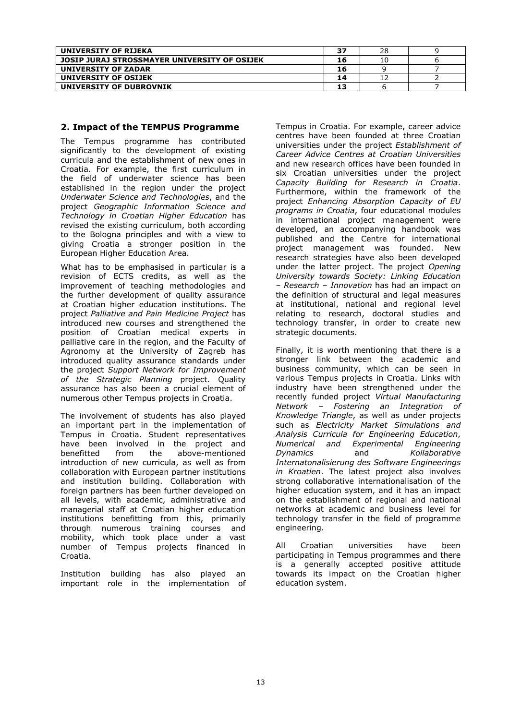| UNIVERSITY OF RIJEKA                         | 37 | 28 |  |
|----------------------------------------------|----|----|--|
| JOSIP JURAJ STROSSMAYER UNIVERSITY OF OSIJEK | 16 | 10 |  |
| UNIVERSITY OF ZADAR                          | 16 |    |  |
| UNIVERSITY OF OSIJEK                         | 14 |    |  |
| UNIVERSITY OF DUBROVNIK                      | 13 |    |  |
|                                              |    |    |  |

#### **2. Impact of the TEMPUS Programme**

The Tempus programme has contributed significantly to the development of existing curricula and the establishment of new ones in Croatia. For example, the first curriculum in the field of underwater science has been established in the region under the project *Underwater Science and Technologies*, and the project *Geographic Information Science and Technology in Croatian Higher Education* has revised the existing curriculum, both according to the Bologna principles and with a view to giving Croatia a stronger position in the European Higher Education Area.

What has to be emphasised in particular is a revision of ECTS credits, as well as the improvement of teaching methodologies and the further development of quality assurance at Croatian higher education institutions. The project *Palliative and Pain Medicine Project* has introduced new courses and strengthened the position of Croatian medical experts in palliative care in the region, and the Faculty of Agronomy at the University of Zagreb has introduced quality assurance standards under the project *Support Network for Improvement of the Strategic Planning* project. Quality assurance has also been a crucial element of numerous other Tempus projects in Croatia.

The involvement of students has also played an important part in the implementation of Tempus in Croatia. Student representatives have been involved in the project and benefitted from the above-mentioned introduction of new curricula, as well as from collaboration with European partner institutions and institution building. Collaboration with foreign partners has been further developed on all levels, with academic, administrative and managerial staff at Croatian higher education institutions benefitting from this, primarily through numerous training courses and mobility, which took place under a vast number of Tempus projects financed in Croatia.

Institution building has also played an important role in the implementation of Tempus in Croatia. For example, career advice centres have been founded at three Croatian universities under the project *Establishment of Career Advice Centres at Croatian Universities* and new research offices have been founded in six Croatian universities under the project *Capacity Building for Research in Croatia*. Furthermore, within the framework of the project *Enhancing Absorption Capacity of EU programs in Croatia*, four educational modules in international project management were developed, an accompanying handbook was published and the Centre for international project management was founded. New research strategies have also been developed under the latter project. The project *Opening University towards Society: Linking Education – Research – Innovation* has had an impact on the definition of structural and legal measures at institutional, national and regional level relating to research, doctoral studies and technology transfer, in order to create new strategic documents.

Finally, it is worth mentioning that there is a stronger link between the academic and business community, which can be seen in various Tempus projects in Croatia. Links with industry have been strengthened under the recently funded project *Virtual Manufacturing Network – Fostering an Integration of Knowledge Triangle*, as well as under projects such as *Electricity Market Simulations and Analysis Curricula for Engineering Education*, *Numerical and Experimental Engineering Dynamics* and *Kollaborative Internatonalisierung des Software Engineerings in Kroatien*. The latest project also involves strong collaborative internationalisation of the higher education system, and it has an impact on the establishment of regional and national networks at academic and business level for technology transfer in the field of programme engineering.

All Croatian universities have been participating in Tempus programmes and there is a generally accepted positive attitude towards its impact on the Croatian higher education system.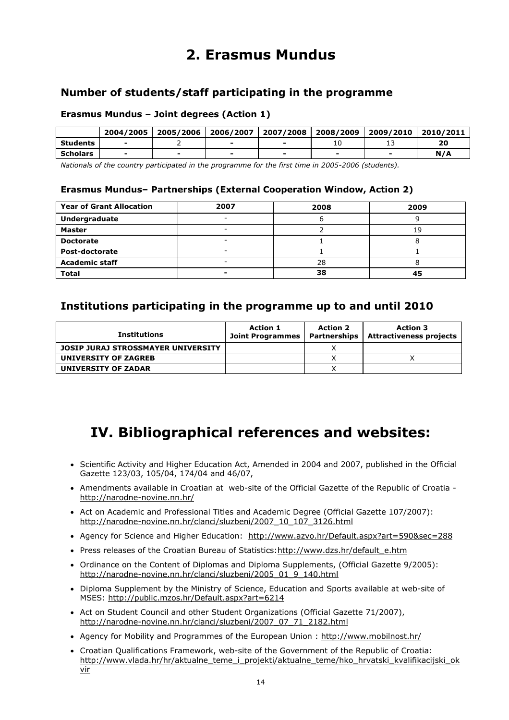### **2. Erasmus Mundus**

### **Number of students/staff participating in the programme**

#### **Erasmus Mundus – Joint degrees (Action 1)**

|          | 2004/2005 | 2005/2006 | 2006/2007 | 2007/2008 | 2008/2009 | 2009/2010 | 2010/2011 |
|----------|-----------|-----------|-----------|-----------|-----------|-----------|-----------|
| Students | -         |           |           |           |           |           | 20        |
| Scholars | -         |           |           |           |           |           | N/A       |

*Nationals of the country participated in the programme for the first time in 2005-2006 (students).* 

#### **Erasmus Mundus– Partnerships (External Cooperation Window, Action 2)**

| <b>Year of Grant Allocation</b> | 2007 | 2008 | 2009 |
|---------------------------------|------|------|------|
| Undergraduate                   |      |      |      |
| Master                          | -    |      | 19   |
| <b>Doctorate</b>                | -    |      |      |
| Post-doctorate                  | -    |      |      |
| <b>Academic staff</b>           | -    | 28   |      |
| <b>Total</b>                    |      | 38   | 45   |

### **Institutions participating in the programme up to and until 2010**

| <b>Institutions</b>                | <b>Action 1</b><br><b>Joint Programmes</b> | <b>Action 2</b> | <b>Action 3</b><br>Partnerships   Attractiveness projects |
|------------------------------------|--------------------------------------------|-----------------|-----------------------------------------------------------|
| JOSIP JURAJ STROSSMAYER UNIVERSITY |                                            |                 |                                                           |
| UNIVERSITY OF ZAGREB               |                                            |                 |                                                           |
| UNIVERSITY OF ZADAR                |                                            |                 |                                                           |

### **IV. Bibliographical references and websites:**

- Scientific Activity and Higher Education Act, Amended in 2004 and 2007, published in the Official Gazette 123/03, 105/04, 174/04 and 46/07,
- Amendments available in Croatian at web-site of the Official Gazette of the Republic of Croatia http://narodne-novine.nn.hr/
- Act on Academic and Professional Titles and Academic Degree (Official Gazette 107/2007): http://narodne-novine.nn.hr/clanci/sluzbeni/2007\_10\_107\_3126.html
- Agency for Science and Higher Education: <http://www.azvo.hr/Default.aspx?art=590&sec=288>
- Press releases of the Croatian Bureau of Statistics[:http://www.dzs.hr/default\\_e.htm](http://www.dzs.hr/default_e.htm)
- Ordinance on the Content of Diplomas and Diploma Supplements, (Official Gazette 9/2005): http://narodne-novine.nn.hr/clanci/sluzbeni/2005\_01\_9\_140.html
- Diploma Supplement by the Ministry of Science, Education and Sports available at web-site of MSES:<http://public.mzos.hr/Default.aspx?art=6214>
- Act on Student Council and other Student Organizations (Official Gazette 71/2007), [http://narodne-novine.nn.hr/clanci/sluzbeni/2007\\_07\\_71\\_2182.html](http://narodne-novine.nn.hr/clanci/sluzbeni/2007_07_71_2182.html)
- Agency for Mobility and Programmes of the European Union :<http://www.mobilnost.hr/>
- Croatian Qualifications Framework, web-site of the Government of the Republic of Croatia: [http://www.vlada.hr/hr/aktualne\\_teme\\_i\\_projekti/aktualne\\_teme/hko\\_hrvatski\\_kvalifikacijski\\_ok](http://www.vlada.hr/hr/aktualne_teme_i_projekti/aktualne_teme/hko_hrvatski_kvalifikacijski_okvir) [vir](http://www.vlada.hr/hr/aktualne_teme_i_projekti/aktualne_teme/hko_hrvatski_kvalifikacijski_okvir)